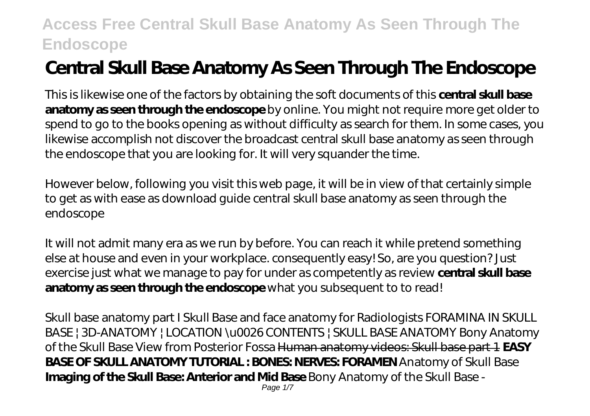# **Central Skull Base Anatomy As Seen Through The Endoscope**

This is likewise one of the factors by obtaining the soft documents of this **central skull base anatomy as seen through the endoscope** by online. You might not require more get older to spend to go to the books opening as without difficulty as search for them. In some cases, you likewise accomplish not discover the broadcast central skull base anatomy as seen through the endoscope that you are looking for. It will very squander the time.

However below, following you visit this web page, it will be in view of that certainly simple to get as with ease as download guide central skull base anatomy as seen through the endoscope

It will not admit many era as we run by before. You can reach it while pretend something else at house and even in your workplace. consequently easy! So, are you question? Just exercise just what we manage to pay for under as competently as review **central skull base anatomy as seen through the endoscope** what you subsequent to to read!

*Skull base anatomy part I* Skull Base and face anatomy for Radiologists FORAMINA IN SKULL BASE | 3D-ANATOMY | LOCATION \u0026 CONTENTS | SKULL BASE ANATOMY Bony Anatomy of the Skull Base View from Posterior Fossa Human anatomy videos: Skull base part 1 **EASY BASE OF SKULL ANATOMY TUTORIAL : BONES: NERVES: FORAMEN** *Anatomy of Skull Base* **Imaging of the Skull Base: Anterior and Mid Base** *Bony Anatomy of the Skull Base -* Page  $1/7$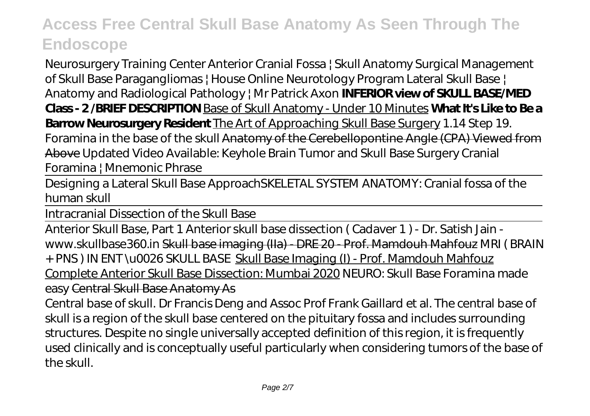*Neurosurgery Training Center* Anterior Cranial Fossa | Skull Anatomy *Surgical Management of Skull Base Paragangliomas | House Online Neurotology Program Lateral Skull Base | Anatomy and Radiological Pathology | Mr Patrick Axon* **INFERIOR view of SKULL BASE/MED Class - 2 /BRIEF DESCRIPTION** Base of Skull Anatomy - Under 10 Minutes **What It's Like to Be a Barrow Neurosurgery Resident** The Art of Approaching Skull Base Surgery *1.14 Step 19. Foramina in the base of the skull* Anatomy of the Cerebellopontine Angle (CPA) Viewed from Above *Updated Video Available: Keyhole Brain Tumor and Skull Base Surgery* Cranial Foramina | Mnemonic Phrase

Designing a Lateral Skull Base Approach*SKELETAL SYSTEM ANATOMY: Cranial fossa of the human skull*

Intracranial Dissection of the Skull Base

Anterior Skull Base, Part 1 Anterior skull base dissection ( Cadaver 1 ) - Dr. Satish Jain www.skullbase360.in Skull base imaging (IIa) - DRE 20 - Prof. Mamdouh Mahfouz *MRI ( BRAIN + PNS ) IN ENT \u0026 SKULL BASE* Skull Base Imaging (I) - Prof. Mamdouh Mahfouz Complete Anterior Skull Base Dissection: Mumbai 2020 *NEURO: Skull Base Foramina made easy* Central Skull Base Anatomy As

Central base of skull. Dr Francis Deng and Assoc Prof Frank Gaillard et al. The central base of skull is a region of the skull base centered on the pituitary fossa and includes surrounding structures. Despite no single universally accepted definition of this region, it is frequently used clinically and is conceptually useful particularly when considering tumors of the base of the skull.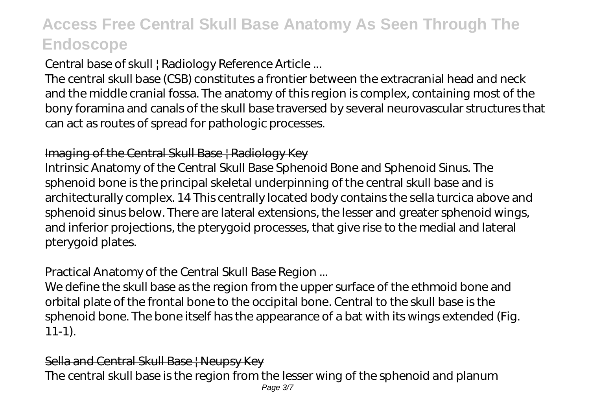### Central base of skull | Radiology Reference Article ...

The central skull base (CSB) constitutes a frontier between the extracranial head and neck and the middle cranial fossa. The anatomy of this region is complex, containing most of the bony foramina and canals of the skull base traversed by several neurovascular structures that can act as routes of spread for pathologic processes.

#### Imaging of the Central Skull Base | Radiology Key

Intrinsic Anatomy of the Central Skull Base Sphenoid Bone and Sphenoid Sinus. The sphenoid bone is the principal skeletal underpinning of the central skull base and is architecturally complex. 14 This centrally located body contains the sella turcica above and sphenoid sinus below. There are lateral extensions, the lesser and greater sphenoid wings, and inferior projections, the pterygoid processes, that give rise to the medial and lateral pterygoid plates.

### Practical Anatomy of the Central Skull Base Region ...

We define the skull base as the region from the upper surface of the ethmoid bone and orbital plate of the frontal bone to the occipital bone. Central to the skull base is the sphenoid bone. The bone itself has the appearance of a bat with its wings extended (Fig. 11-1).

#### Sella and Central Skull Base | Neupsy Key

The central skull base is the region from the lesser wing of the sphenoid and planum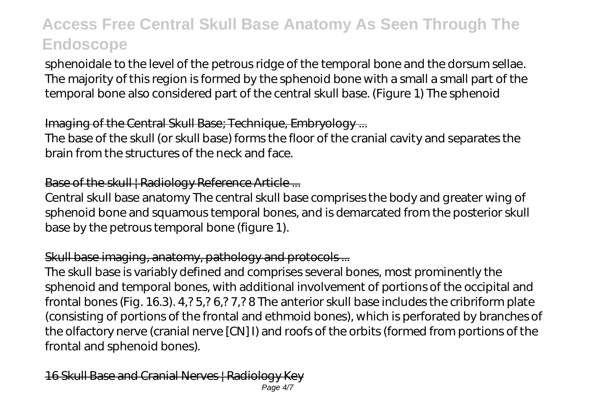sphenoidale to the level of the petrous ridge of the temporal bone and the dorsum sellae. The majority of this region is formed by the sphenoid bone with a small a small part of the temporal bone also considered part of the central skull base. (Figure 1) The sphenoid

### Imaging of the Central Skull Base; Technique, Embryology ...

The base of the skull (or skull base) forms the floor of the cranial cavity and separates the brain from the structures of the neck and face.

#### Base of the skull | Radiology Reference Article ...

Central skull base anatomy The central skull base comprises the body and greater wing of sphenoid bone and squamous temporal bones, and is demarcated from the posterior skull base by the petrous temporal bone (figure 1).

### Skull base imaging, anatomy, pathology and protocols...

The skull base is variably defined and comprises several bones, most prominently the sphenoid and temporal bones, with additional involvement of portions of the occipital and frontal bones (Fig. 16.3). 4,? 5,? 6,? 7,? 8 The anterior skull base includes the cribriform plate (consisting of portions of the frontal and ethmoid bones), which is perforated by branches of the olfactory nerve (cranial nerve [CN] I) and roofs of the orbits (formed from portions of the frontal and sphenoid bones).

#### 16 Skull Base and Cranial Nerves | Radiology Page 4/7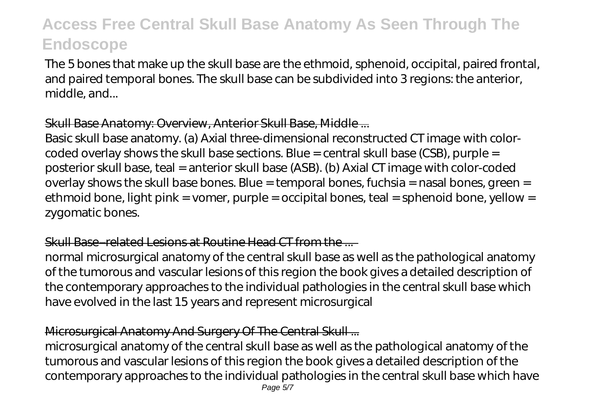The 5 bones that make up the skull base are the ethmoid, sphenoid, occipital, paired frontal, and paired temporal bones. The skull base can be subdivided into 3 regions: the anterior, middle, and...

### Skull Base Anatomy: Overview, Anterior Skull Base, Middle ...

Basic skull base anatomy. (a) Axial three-dimensional reconstructed CT image with colorcoded overlay shows the skull base sections. Blue = central skull base (CSB), purple = posterior skull base, teal = anterior skull base (ASB). (b) Axial CT image with color-coded overlay shows the skull base bones. Blue = temporal bones, fuchsia = nasal bones, green = ethmoid bone, light pink = vomer, purple = occipital bones, teal = sphenoid bone, yellow = zygomatic bones.

### Skull Base–related Lesions at Routine Head CT from the

normal microsurgical anatomy of the central skull base as well as the pathological anatomy of the tumorous and vascular lesions of this region the book gives a detailed description of the contemporary approaches to the individual pathologies in the central skull base which have evolved in the last 15 years and represent microsurgical

### Microsurgical Anatomy And Surgery Of The Central Skull ...

microsurgical anatomy of the central skull base as well as the pathological anatomy of the tumorous and vascular lesions of this region the book gives a detailed description of the contemporary approaches to the individual pathologies in the central skull base which have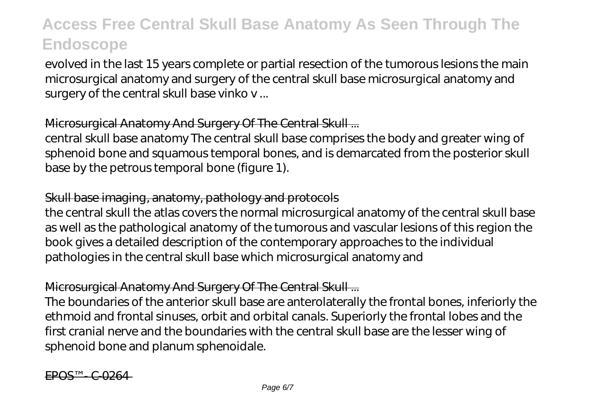evolved in the last 15 years complete or partial resection of the tumorous lesions the main microsurgical anatomy and surgery of the central skull base microsurgical anatomy and surgery of the central skull base vinko v ...

### Microsurgical Anatomy And Surgery Of The Central Skull ...

central skull base anatomy The central skull base comprises the body and greater wing of sphenoid bone and squamous temporal bones, and is demarcated from the posterior skull base by the petrous temporal bone (figure 1).

#### Skull base imaging, anatomy, pathology and protocols

the central skull the atlas covers the normal microsurgical anatomy of the central skull base as well as the pathological anatomy of the tumorous and vascular lesions of this region the book gives a detailed description of the contemporary approaches to the individual pathologies in the central skull base which microsurgical anatomy and

### Microsurgical Anatomy And Surgery Of The Central Skull ...

The boundaries of the anterior skull base are anterolaterally the frontal bones, inferiorly the ethmoid and frontal sinuses, orbit and orbital canals. Superiorly the frontal lobes and the first cranial nerve and the boundaries with the central skull base are the lesser wing of sphenoid bone and planum sphenoidale.

EPOS™ - C-0264